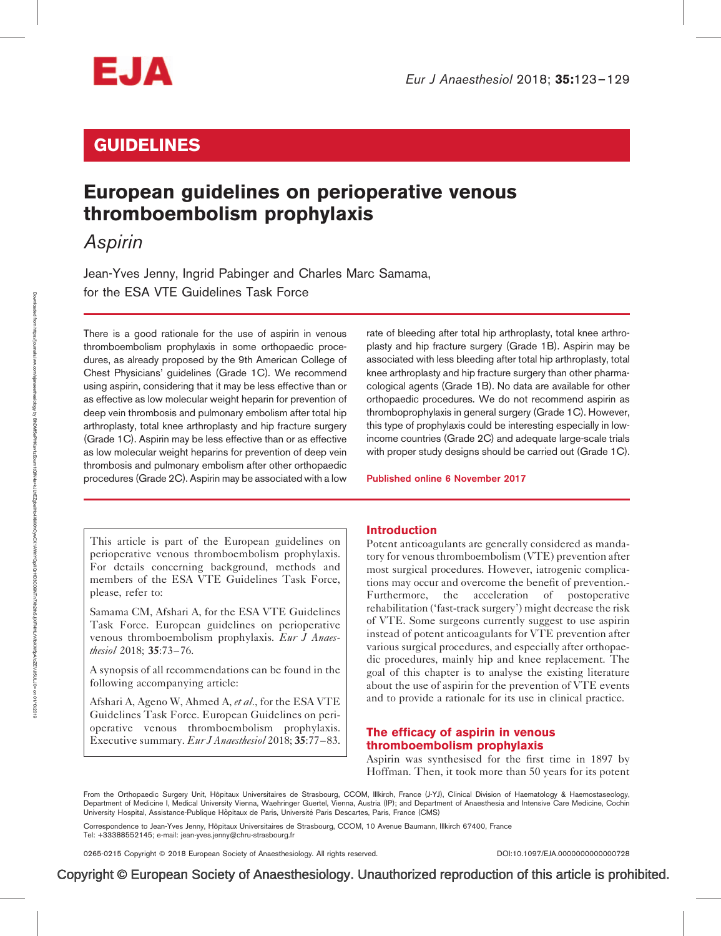

# GUIDELINES

# European guidelines on perioperative venous thromboembolism prophylaxis

Aspirin

Jean-Yves Jenny, Ingrid Pabinger and Charles Marc Samama, for the ESA VTE Guidelines Task Force

There is a good rationale for the use of aspirin in venous thromboembolism prophylaxis in some orthopaedic procedures, as already proposed by the 9th American College of Chest Physicians' guidelines (Grade 1C). We recommend using aspirin, considering that it may be less effective than or as effective as low molecular weight heparin for prevention of deep vein thrombosis and pulmonary embolism after total hip arthroplasty, total knee arthroplasty and hip fracture surgery (Grade 1C). Aspirin may be less effective than or as effective as low molecular weight heparins for prevention of deep vein thrombosis and pulmonary embolism after other orthopaedic procedures (Grade 2C). Aspirin may be associated with a low

rate of bleeding after total hip arthroplasty, total knee arthroplasty and hip fracture surgery (Grade 1B). Aspirin may be associated with less bleeding after total hip arthroplasty, total knee arthroplasty and hip fracture surgery than other pharmacological agents (Grade 1B). No data are available for other orthopaedic procedures. We do not recommend aspirin as thromboprophylaxis in general surgery (Grade 1C). However, this type of prophylaxis could be interesting especially in lowincome countries (Grade 2C) and adequate large-scale trials with proper study designs should be carried out (Grade 1C).

Published online 6 November 2017

This article is part of the European guidelines on perioperative venous thromboembolism prophylaxis. For details concerning background, methods and members of the ESA VTE Guidelines Task Force, please, refer to:

Samama CM, Afshari A, for the ESA VTE Guidelines Task Force. European guidelines on perioperative venous thromboembolism prophylaxis. Eur J Anaesthesiol 2018; 35:73–76.

A synopsis of all recommendations can be found in the following accompanying article:

Afshari A, Ageno W, Ahmed A, et al., for the ESA VTE Guidelines Task Force. European Guidelines on perioperative venous thromboembolism prophylaxis. Executive summary. Eur J Anaesthesiol 2018; 35:77–83.

## Introduction

Potent anticoagulants are generally considered as mandatory for venous thromboembolism (VTE) prevention after most surgical procedures. However, iatrogenic complications may occur and overcome the benefit of prevention.- Furthermore, the acceleration of postoperative rehabilitation ('fast-track surgery') might decrease the risk of VTE. Some surgeons currently suggest to use aspirin instead of potent anticoagulants for VTE prevention after various surgical procedures, and especially after orthopaedic procedures, mainly hip and knee replacement. The goal of this chapter is to analyse the existing literature about the use of aspirin for the prevention of VTE events and to provide a rationale for its use in clinical practice.

# The efficacy of aspirin in venous thromboembolism prophylaxis

Aspirin was synthesised for the first time in 1897 by Hoffman. Then, it took more than 50 years for its potent

From the Orthopaedic Surgery Unit, Hôpitaux Universitaires de Strasbourg, CCOM, Illkirch, France (J-YJ), Clinical Division of Haematology & Haemostaseology, Department of Medicine I, Medical University Vienna, Waehringer Guertel, Vienna, Austria (IP); and Department of Anaesthesia and Intensive Care Medicine, Cochin University Hospital, Assistance-Publique Hôpitaux de Paris, Université Paris Descartes, Paris, France (CMS)

Correspondence to Jean-Yves Jenny, Hôpitaux Universitaires de Strasbourg, CCOM, 10 Avenue Baumann, Illkirch 67400, France Tel: +33388552145; e-mail: [jean-yves.jenny@chru-strasbourg.fr](mailto:jean-yves.jenny@chru-strasbourg.fr)

0265-0215 Copyright - 2018 European Society of Anaesthesiology. All rights reserved. DOI[:10.1097/EJA.0000000000000728](http://dx.doi.org/10.1097/EJA.0000000000000728)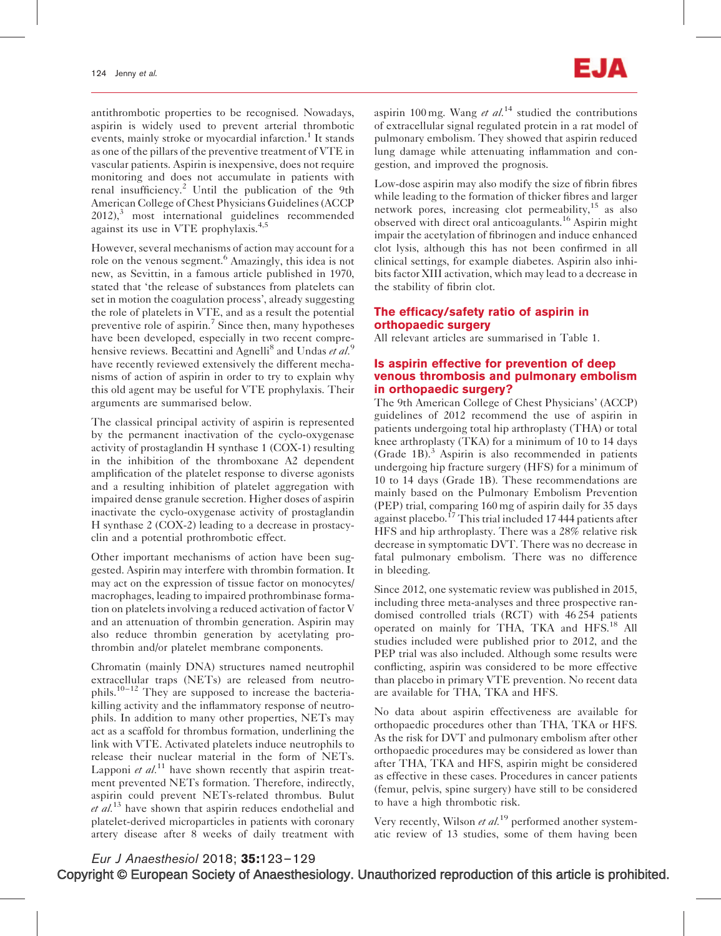antithrombotic properties to be recognised. Nowadays, aspirin is widely used to prevent arterial thrombotic events, mainly stroke or myocardial infarction.<sup>1</sup> It stands as one of the pillars of the preventive treatment of VTE in vascular patients. Aspirin is inexpensive, does not require monitoring and does not accumulate in patients with renal insufficiency.<sup>2</sup> Until the publication of the 9th American College of Chest Physicians Guidelines (ACCP  $2012$ ),<sup>3</sup> most international guidelines recommended against its use in VTE prophylaxis.<sup>4,5</sup>

However, several mechanisms of action may account for a role on the venous segment.<sup>6</sup> Amazingly, this idea is not new, as Sevittin, in a famous article published in 1970, stated that 'the release of substances from platelets can set in motion the coagulation process', already suggesting the role of platelets in VTE, and as a result the potential preventive role of aspirin.<sup>7</sup> Since then, many hypotheses have been developed, especially in two recent comprehensive reviews. Becattini and Agnelli<sup>8</sup> and Undas et al.<sup>9</sup> have recently reviewed extensively the different mechanisms of action of aspirin in order to try to explain why this old agent may be useful for VTE prophylaxis. Their arguments are summarised below.

The classical principal activity of aspirin is represented by the permanent inactivation of the cyclo-oxygenase activity of prostaglandin H synthase 1 (COX-1) resulting in the inhibition of the thromboxane A2 dependent amplification of the platelet response to diverse agonists and a resulting inhibition of platelet aggregation with impaired dense granule secretion. Higher doses of aspirin inactivate the cyclo-oxygenase activity of prostaglandin H synthase 2 (COX-2) leading to a decrease in prostacyclin and a potential prothrombotic effect.

Other important mechanisms of action have been suggested. Aspirin may interfere with thrombin formation. It may act on the expression of tissue factor on monocytes/ macrophages, leading to impaired prothrombinase formation on platelets involving a reduced activation of factor V and an attenuation of thrombin generation. Aspirin may also reduce thrombin generation by acetylating prothrombin and/or platelet membrane components.

Chromatin (mainly DNA) structures named neutrophil extracellular traps (NETs) are released from neutrophils.<sup>10–12</sup> They are supposed to increase the bacteriakilling activity and the inflammatory response of neutrophils. In addition to many other properties, NETs may act as a scaffold for thrombus formation, underlining the link with VTE. Activated platelets induce neutrophils to release their nuclear material in the form of NETs. Lapponi *et al.*<sup>11</sup> have shown recently that aspirin treatment prevented NETs formation. Therefore, indirectly, aspirin could prevent NETs-related thrombus. Bulut et  $al^{13}$  have shown that aspirin reduces endothelial and platelet-derived microparticles in patients with coronary artery disease after 8 weeks of daily treatment with

aspirin 100 mg. Wang et  $al$ .<sup>14</sup> studied the contributions of extracellular signal regulated protein in a rat model of pulmonary embolism. They showed that aspirin reduced lung damage while attenuating inflammation and congestion, and improved the prognosis.

Low-dose aspirin may also modify the size of fibrin fibres while leading to the formation of thicker fibres and larger network pores, increasing clot permeability,<sup>15</sup> as also observed with direct oral anticoagulants.<sup>16</sup> Aspirin might impair the acetylation of fibrinogen and induce enhanced clot lysis, although this has not been confirmed in all clinical settings, for example diabetes. Aspirin also inhibits factor XIII activation, which may lead to a decrease in the stability of fibrin clot.

# The efficacy/safety ratio of aspirin in orthopaedic surgery

All relevant articles are summarised in Table 1.

# Is aspirin effective for prevention of deep venous thrombosis and pulmonary embolism in orthopaedic surgery?

The 9th American College of Chest Physicians' (ACCP) guidelines of 2012 recommend the use of aspirin in patients undergoing total hip arthroplasty (THA) or total knee arthroplasty (TKA) for a minimum of 10 to 14 days (Grade 1B). $3$  Aspirin is also recommended in patients undergoing hip fracture surgery (HFS) for a minimum of 10 to 14 days (Grade 1B). These recommendations are mainly based on the Pulmonary Embolism Prevention (PEP) trial, comparing 160 mg of aspirin daily for 35 days against placebo.<sup>17</sup> This trial included 17 444 patients after HFS and hip arthroplasty. There was a 28% relative risk decrease in symptomatic DVT. There was no decrease in fatal pulmonary embolism. There was no difference in bleeding.

Since 2012, one systematic review was published in 2015, including three meta-analyses and three prospective randomised controlled trials (RCT) with 46 254 patients operated on mainly for THA, TKA and HFS.<sup>18</sup> All studies included were published prior to 2012, and the PEP trial was also included. Although some results were conflicting, aspirin was considered to be more effective than placebo in primary VTE prevention. No recent data are available for THA, TKA and HFS.

No data about aspirin effectiveness are available for orthopaedic procedures other than THA, TKA or HFS. As the risk for DVT and pulmonary embolism after other orthopaedic procedures may be considered as lower than after THA, TKA and HFS, aspirin might be considered as effective in these cases. Procedures in cancer patients (femur, pelvis, spine surgery) have still to be considered to have a high thrombotic risk.

Very recently, Wilson *et al.*<sup>19</sup> performed another systematic review of 13 studies, some of them having been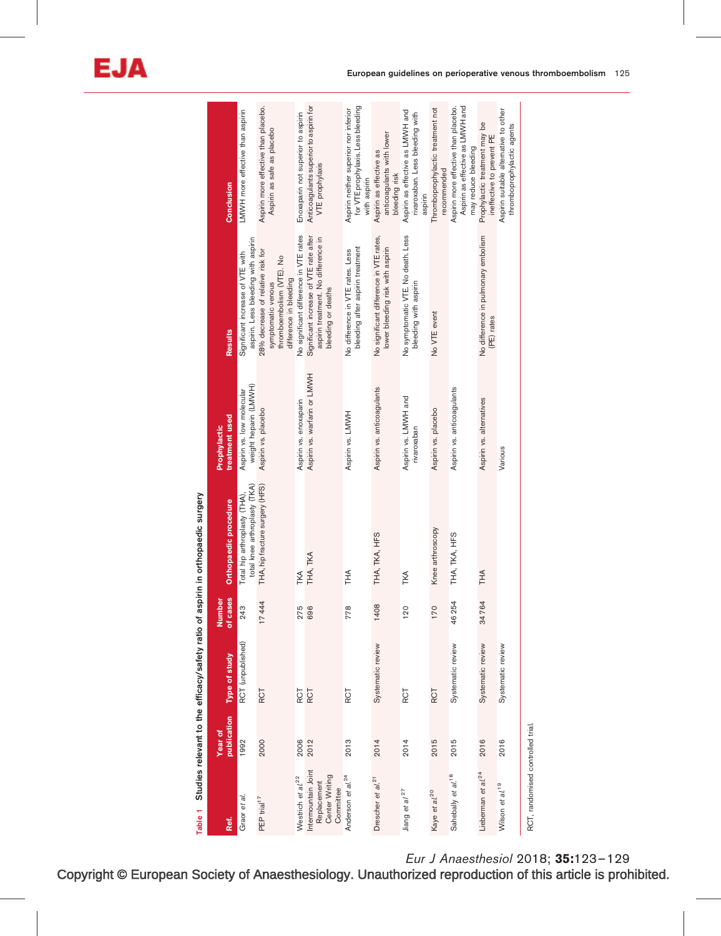| Table 1                                                           |             |                   |          | Studies relevant to the efficacy/safety ratio of aspirin in orthopaedic surgery |                                                    |                                                                                                                |                                                                                                 |
|-------------------------------------------------------------------|-------------|-------------------|----------|---------------------------------------------------------------------------------|----------------------------------------------------|----------------------------------------------------------------------------------------------------------------|-------------------------------------------------------------------------------------------------|
|                                                                   | Year of     |                   | Number   |                                                                                 | Prophylactic                                       |                                                                                                                |                                                                                                 |
| Ref.                                                              | publication | Type of study     | of cases | Orthopaedic procedure                                                           | treatment used                                     | Results                                                                                                        | Conclusion                                                                                      |
| 76<br>Graor et                                                    | 1992        | RCT (unpublished) | 243      | total knee arthroplasty (TKA)<br>Total hip arthroplasty (THA),                  | weight heparin (LMWH)<br>Aspirin vs. low molecular | aspirin. Less bleeding with aspirin<br>Significant increase of VTE with                                        | LMWH more effective than aspirin                                                                |
| PEP trial <sup>17</sup>                                           | 2000        | RCT               | 17444    | THA, hip fracture surgery (HFS)                                                 | Aspirin vs. placebo                                | 28% decrease of relative risk for<br>thromboembolism (VTE). No<br>difference in bleeding<br>symptomatic venous | Aspirin more effective than placebo.<br>Aspirin as safe as placebo                              |
| Westrich et al. <sup>22</sup>                                     | 2006        | RCT               | 275      | TKA                                                                             | Aspirin vs. enoxaparin                             | No significant difference in VTE rates                                                                         | Enoxaparin not superior to aspirin                                                              |
| Intermountain Joint<br>Center Writing<br>Replacement<br>Committee | 2012        | RCT               | 696      | THA, TKA                                                                        | Aspirin vs. warfarin or LMWH                       | Significant increase of VTE rate after<br>aspirin treatment. No difference in<br>bleeding or deaths            | Anticoagulants superior to aspirin for<br>VTE prophylaxis                                       |
| Anderson et al. <sup>24</sup>                                     | 2013        | <b>RCT</b>        | 778      | ∩<br>F                                                                          | Aspirin vs. LMWH                                   | bleeding after aspirin treatment<br>No difference in VTE rates. Less                                           | for VTE prophylaxis. Less bleeding<br>Aspirin neither superior nor inferior<br>with aspirin     |
| Drescher et al. <sup>21</sup>                                     | 2014        | Systematic review | 1408     | THA, TKA, HFS                                                                   | Aspirin vs. anticoagulants                         | No significant difference in VTE rates,<br>lower bleeding risk with aspirin                                    | anticoagulants with lower<br>Aspirin as effective as<br>bleeding risk                           |
| Jiang et al <sup>27</sup>                                         | 2014        | <b>ROT</b>        | 120      | TKA                                                                             | Aspirin vs. LMWH and<br>rivaroxaban                | No symptomatic VTE. No death. Less<br>bleeding with aspirin                                                    | Aspirin as effective as LMVH and<br>rivaroxaban. Less bleeding with<br>aspirin                  |
| Kaye et al. <sup>20</sup>                                         | 2015        | RCT               | 170      | Knee arthroscopy                                                                | Aspirin vs. placebo                                | No VTE event                                                                                                   | Thromboprophylactic treatment not<br>recommended                                                |
| Sahebally et al. <sup>18</sup>                                    | 2015        | Systematic review | 46254    | THA, TKA, HFS                                                                   | Aspirin vs. anticoagulants                         |                                                                                                                | Aspirin as effective as LMWH and<br>Aspirin more effective than placebo.<br>may reduce bleeding |
| Lieberman et al. <sup>24</sup>                                    | 2016        | Systematic review | 34764    | ΗA<br>Τ                                                                         | Aspirin vs. alternatives                           | No difference in pulmonary embolism<br>(PE) rates                                                              | Prophylactic treatment may be<br>ineffective to prevent PE                                      |
| Wilson et al. <sup>19</sup>                                       | 2016        | Systematic review |          |                                                                                 | Various                                            |                                                                                                                | Aspirin suitable alternative to other<br>thromboprophylactic agents                             |
| RCT, randomised controlled trial                                  |             |                   |          |                                                                                 |                                                    |                                                                                                                |                                                                                                 |

Eur J Anaesthesiol 2018; 35:123–129

Copyright © European Society of Anaesthesiology. Unauthorized reproduction of this article is prohibited.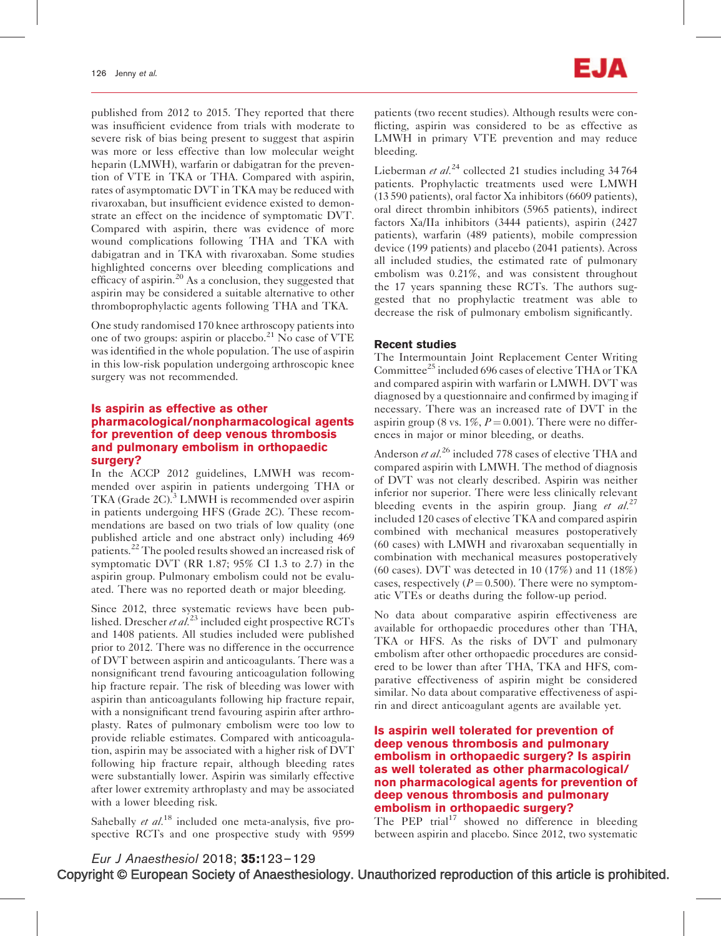published from 2012 to 2015. They reported that there was insufficient evidence from trials with moderate to severe risk of bias being present to suggest that aspirin was more or less effective than low molecular weight heparin (LMWH), warfarin or dabigatran for the prevention of VTE in TKA or THA. Compared with aspirin, rates of asymptomatic DVT in TKA may be reduced with rivaroxaban, but insufficient evidence existed to demonstrate an effect on the incidence of symptomatic DVT. Compared with aspirin, there was evidence of more wound complications following THA and TKA with dabigatran and in TKA with rivaroxaban. Some studies highlighted concerns over bleeding complications and efficacy of aspirin.<sup>20</sup> As a conclusion, they suggested that aspirin may be considered a suitable alternative to other thromboprophylactic agents following THA and TKA.

One study randomised 170 knee arthroscopy patients into one of two groups: aspirin or placebo.<sup>21</sup> No case of VTE was identified in the whole population. The use of aspirin in this low-risk population undergoing arthroscopic knee surgery was not recommended.

## Is aspirin as effective as other pharmacological/nonpharmacological agents for prevention of deep venous thrombosis and pulmonary embolism in orthopaedic surgery?

In the ACCP 2012 guidelines, LMWH was recommended over aspirin in patients undergoing THA or TKA (Grade 2C).<sup>3</sup> LMWH is recommended over aspirin in patients undergoing HFS (Grade 2C). These recommendations are based on two trials of low quality (one published article and one abstract only) including 469 patients.<sup>22</sup> The pooled results showed an increased risk of symptomatic DVT (RR 1.87; 95% CI 1.3 to 2.7) in the aspirin group. Pulmonary embolism could not be evaluated. There was no reported death or major bleeding.

Since 2012, three systematic reviews have been published. Drescher et  $al^{23}$  included eight prospective RCTs and 1408 patients. All studies included were published prior to 2012. There was no difference in the occurrence of DVT between aspirin and anticoagulants. There was a nonsignificant trend favouring anticoagulation following hip fracture repair. The risk of bleeding was lower with aspirin than anticoagulants following hip fracture repair, with a nonsignificant trend favouring aspirin after arthroplasty. Rates of pulmonary embolism were too low to provide reliable estimates. Compared with anticoagulation, aspirin may be associated with a higher risk of DVT following hip fracture repair, although bleeding rates were substantially lower. Aspirin was similarly effective after lower extremity arthroplasty and may be associated with a lower bleeding risk.

Sahebally et  $al$ <sup>18</sup> included one meta-analysis, five prospective RCTs and one prospective study with 9599 patients (two recent studies). Although results were conflicting, aspirin was considered to be as effective as LMWH in primary VTE prevention and may reduce bleeding.

Lieberman et  $al^{24}$  collected 21 studies including 34764 patients. Prophylactic treatments used were LMWH (13 590 patients), oral factor Xa inhibitors (6609 patients), oral direct thrombin inhibitors (5965 patients), indirect factors Xa/IIa inhibitors (3444 patients), aspirin (2427 patients), warfarin (489 patients), mobile compression device (199 patients) and placebo (2041 patients). Across all included studies, the estimated rate of pulmonary embolism was 0.21%, and was consistent throughout the 17 years spanning these RCTs. The authors suggested that no prophylactic treatment was able to decrease the risk of pulmonary embolism significantly.

# Recent studies

The Intermountain Joint Replacement Center Writing Committee<sup>25</sup> included 696 cases of elective THA or TKA and compared aspirin with warfarin or LMWH. DVT was diagnosed by a questionnaire and confirmed by imaging if necessary. There was an increased rate of DVT in the aspirin group (8 vs.  $1\%$ ,  $P = 0.001$ ). There were no differences in major or minor bleeding, or deaths.

Anderson et al.<sup>26</sup> included 778 cases of elective THA and compared aspirin with LMWH. The method of diagnosis of DVT was not clearly described. Aspirin was neither inferior nor superior. There were less clinically relevant bleeding events in the aspirin group. Jiang et  $al^{27}$ included 120 cases of elective TKA and compared aspirin combined with mechanical measures postoperatively (60 cases) with LMWH and rivaroxaban sequentially in combination with mechanical measures postoperatively (60 cases). DVT was detected in 10 (17%) and 11 (18%) cases, respectively ( $P = 0.500$ ). There were no symptomatic VTEs or deaths during the follow-up period.

No data about comparative aspirin effectiveness are available for orthopaedic procedures other than THA, TKA or HFS. As the risks of DVT and pulmonary embolism after other orthopaedic procedures are considered to be lower than after THA, TKA and HFS, comparative effectiveness of aspirin might be considered similar. No data about comparative effectiveness of aspirin and direct anticoagulant agents are available yet.

# Is aspirin well tolerated for prevention of deep venous thrombosis and pulmonary embolism in orthopaedic surgery? Is aspirin as well tolerated as other pharmacological/ non pharmacological agents for prevention of deep venous thrombosis and pulmonary embolism in orthopaedic surgery?

The PEP trial<sup>17</sup> showed no difference in bleeding between aspirin and placebo. Since 2012, two systematic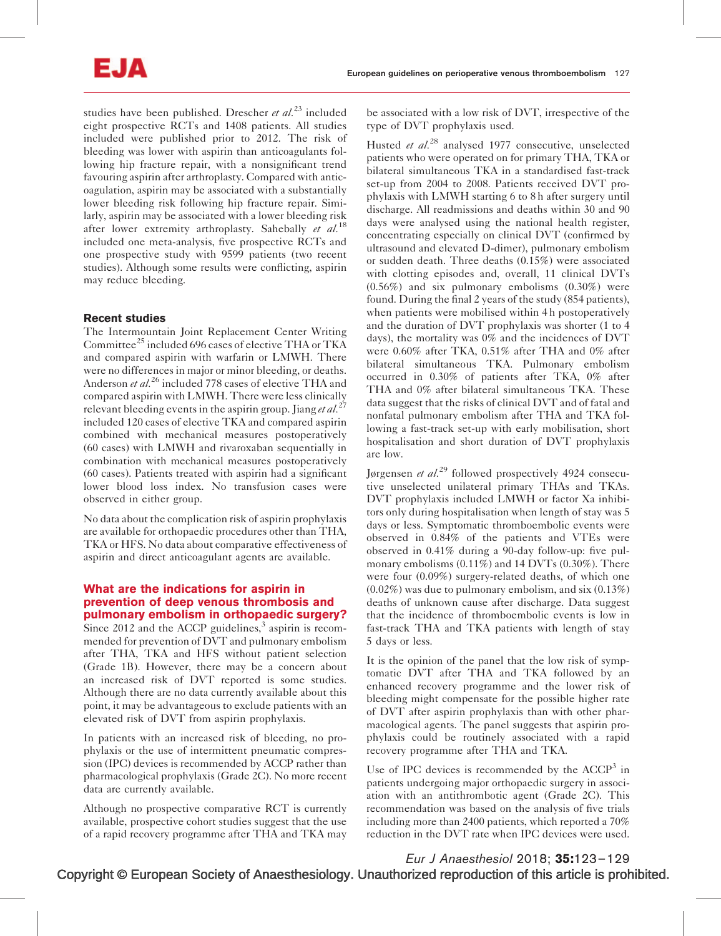studies have been published. Drescher et  $al^{23}$  included eight prospective RCTs and 1408 patients. All studies included were published prior to 2012. The risk of bleeding was lower with aspirin than anticoagulants following hip fracture repair, with a nonsignificant trend favouring aspirin after arthroplasty. Compared with anticoagulation, aspirin may be associated with a substantially lower bleeding risk following hip fracture repair. Similarly, aspirin may be associated with a lower bleeding risk after lower extremity arthroplasty. Sahebally et  $al$ .<sup>18</sup> included one meta-analysis, five prospective RCTs and one prospective study with 9599 patients (two recent studies). Although some results were conflicting, aspirin may reduce bleeding.

# Recent studies

The Intermountain Joint Replacement Center Writing Committee<sup>25</sup> included 696 cases of elective THA or TKA and compared aspirin with warfarin or LMWH. There were no differences in major or minor bleeding, or deaths. Anderson et al.<sup>26</sup> included 778 cases of elective THA and compared aspirin with LMWH. There were less clinically relevant bleeding events in the aspirin group. Jiang et al.<sup>27</sup> included 120 cases of elective TKA and compared aspirin combined with mechanical measures postoperatively (60 cases) with LMWH and rivaroxaban sequentially in combination with mechanical measures postoperatively (60 cases). Patients treated with aspirin had a significant lower blood loss index. No transfusion cases were observed in either group.

No data about the complication risk of aspirin prophylaxis are available for orthopaedic procedures other than THA, TKA or HFS. No data about comparative effectiveness of aspirin and direct anticoagulant agents are available.

# What are the indications for aspirin in prevention of deep venous thrombosis and pulmonary embolism in orthopaedic surgery?

Since 2012 and the ACCP guidelines, $3$  aspirin is recommended for prevention of DVT and pulmonary embolism after THA, TKA and HFS without patient selection (Grade 1B). However, there may be a concern about an increased risk of DVT reported is some studies. Although there are no data currently available about this point, it may be advantageous to exclude patients with an elevated risk of DVT from aspirin prophylaxis.

In patients with an increased risk of bleeding, no prophylaxis or the use of intermittent pneumatic compression (IPC) devices is recommended by ACCP rather than pharmacological prophylaxis (Grade 2C). No more recent data are currently available.

Although no prospective comparative RCT is currently available, prospective cohort studies suggest that the use of a rapid recovery programme after THA and TKA may

be associated with a low risk of DVT, irrespective of the type of DVT prophylaxis used.

Husted et al.<sup>28</sup> analysed 1977 consecutive, unselected patients who were operated on for primary THA, TKA or bilateral simultaneous TKA in a standardised fast-track set-up from 2004 to 2008. Patients received DVT prophylaxis with LMWH starting 6 to 8 h after surgery until discharge. All readmissions and deaths within 30 and 90 days were analysed using the national health register, concentrating especially on clinical DVT (confirmed by ultrasound and elevated D-dimer), pulmonary embolism or sudden death. Three deaths (0.15%) were associated with clotting episodes and, overall, 11 clinical DVTs (0.56%) and six pulmonary embolisms (0.30%) were found. During the final 2 years of the study (854 patients), when patients were mobilised within 4 h postoperatively and the duration of DVT prophylaxis was shorter (1 to 4 days), the mortality was 0% and the incidences of DVT were 0.60% after TKA, 0.51% after THA and 0% after bilateral simultaneous TKA. Pulmonary embolism occurred in 0.30% of patients after TKA, 0% after THA and 0% after bilateral simultaneous TKA. These data suggest that the risks of clinical DVT and of fatal and nonfatal pulmonary embolism after THA and TKA following a fast-track set-up with early mobilisation, short hospitalisation and short duration of DVT prophylaxis are low.

Jørgensen et  $al^{29}$  followed prospectively 4924 consecutive unselected unilateral primary THAs and TKAs. DVT prophylaxis included LMWH or factor Xa inhibitors only during hospitalisation when length of stay was 5 days or less. Symptomatic thromboembolic events were observed in 0.84% of the patients and VTEs were observed in 0.41% during a 90-day follow-up: five pulmonary embolisms (0.11%) and 14 DVTs (0.30%). There were four (0.09%) surgery-related deaths, of which one (0.02%) was due to pulmonary embolism, and six (0.13%) deaths of unknown cause after discharge. Data suggest that the incidence of thromboembolic events is low in fast-track THA and TKA patients with length of stay 5 days or less.

It is the opinion of the panel that the low risk of symptomatic DVT after THA and TKA followed by an enhanced recovery programme and the lower risk of bleeding might compensate for the possible higher rate of DVT after aspirin prophylaxis than with other pharmacological agents. The panel suggests that aspirin prophylaxis could be routinely associated with a rapid recovery programme after THA and TKA.

Use of IPC devices is recommended by the  $ACCP<sup>3</sup>$  in patients undergoing major orthopaedic surgery in association with an antithrombotic agent (Grade 2C). This recommendation was based on the analysis of five trials including more than 2400 patients, which reported a 70% reduction in the DVT rate when IPC devices were used.

Copyright © European Society of Anaesthesiology. Unauthorized reproduction of this article is prohibited. Eur J Anaesthesiol 2018; 35:123–129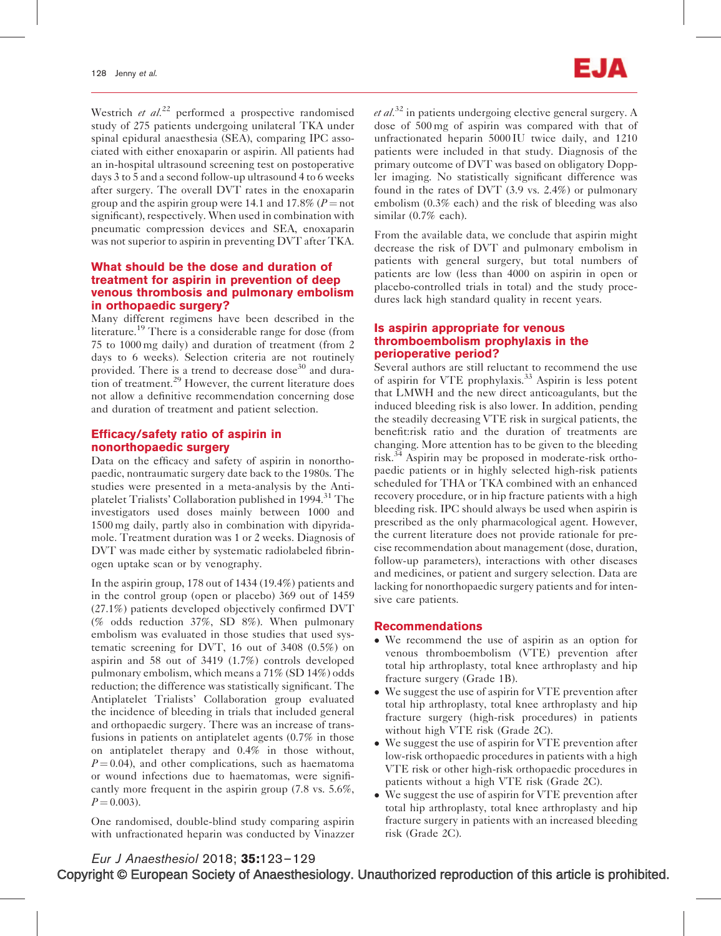Westrich et  $al^{22}$  performed a prospective randomised study of 275 patients undergoing unilateral TKA under spinal epidural anaesthesia (SEA), comparing IPC associated with either enoxaparin or aspirin. All patients had an in-hospital ultrasound screening test on postoperative days 3 to 5 and a second follow-up ultrasound 4 to 6 weeks after surgery. The overall DVT rates in the enoxaparin group and the aspirin group were 14.1 and 17.8% ( $P =$ not significant), respectively. When used in combination with pneumatic compression devices and SEA, enoxaparin was not superior to aspirin in preventing DVT after TKA.

### What should be the dose and duration of treatment for aspirin in prevention of deep venous thrombosis and pulmonary embolism in orthopaedic surgery?

Many different regimens have been described in the literature.<sup>19</sup> There is a considerable range for dose (from 75 to 1000 mg daily) and duration of treatment (from 2 days to 6 weeks). Selection criteria are not routinely provided. There is a trend to decrease dose<sup>30</sup> and duration of treatment. $29$  However, the current literature does not allow a definitive recommendation concerning dose and duration of treatment and patient selection.

## Efficacy/safety ratio of aspirin in nonorthopaedic surgery

Data on the efficacy and safety of aspirin in nonorthopaedic, nontraumatic surgery date back to the 1980s. The studies were presented in a meta-analysis by the Antiplatelet Trialists' Collaboration published in 1994.<sup>31</sup> The investigators used doses mainly between 1000 and 1500 mg daily, partly also in combination with dipyridamole. Treatment duration was 1 or 2 weeks. Diagnosis of DVT was made either by systematic radiolabeled fibrinogen uptake scan or by venography.

In the aspirin group, 178 out of 1434 (19.4%) patients and in the control group (open or placebo) 369 out of 1459 (27.1%) patients developed objectively confirmed DVT (% odds reduction 37%, SD 8%). When pulmonary embolism was evaluated in those studies that used systematic screening for DVT, 16 out of 3408 (0.5%) on aspirin and 58 out of 3419 (1.7%) controls developed pulmonary embolism, which means a 71% (SD 14%) odds reduction; the difference was statistically significant. The Antiplatelet Trialists' Collaboration group evaluated the incidence of bleeding in trials that included general and orthopaedic surgery. There was an increase of transfusions in patients on antiplatelet agents (0.7% in those on antiplatelet therapy and 0.4% in those without,  $P = 0.04$ ), and other complications, such as haematoma or wound infections due to haematomas, were significantly more frequent in the aspirin group (7.8 vs. 5.6%,  $P = 0.003$ .

One randomised, double-blind study comparing aspirin with unfractionated heparin was conducted by Vinazzer  $et al.<sup>32</sup>$  in patients undergoing elective general surgery. A dose of 500 mg of aspirin was compared with that of unfractionated heparin 5000 IU twice daily, and 1210 patients were included in that study. Diagnosis of the primary outcome of DVT was based on obligatory Doppler imaging. No statistically significant difference was found in the rates of DVT (3.9 vs. 2.4%) or pulmonary embolism (0.3% each) and the risk of bleeding was also similar (0.7% each).

From the available data, we conclude that aspirin might decrease the risk of DVT and pulmonary embolism in patients with general surgery, but total numbers of patients are low (less than 4000 on aspirin in open or placebo-controlled trials in total) and the study procedures lack high standard quality in recent years.

#### Is aspirin appropriate for venous thromboembolism prophylaxis in the perioperative period?

Several authors are still reluctant to recommend the use of aspirin for VTE prophylaxis.<sup>33</sup> Aspirin is less potent that LMWH and the new direct anticoagulants, but the induced bleeding risk is also lower. In addition, pending the steadily decreasing VTE risk in surgical patients, the benefit:risk ratio and the duration of treatments are changing. More attention has to be given to the bleeding risk. $34$  Aspirin may be proposed in moderate-risk orthopaedic patients or in highly selected high-risk patients scheduled for THA or TKA combined with an enhanced recovery procedure, or in hip fracture patients with a high bleeding risk. IPC should always be used when aspirin is prescribed as the only pharmacological agent. However, the current literature does not provide rationale for precise recommendation about management (dose, duration, follow-up parameters), interactions with other diseases and medicines, or patient and surgery selection. Data are lacking for nonorthopaedic surgery patients and for intensive care patients.

#### Recommendations

- We recommend the use of aspirin as an option for venous thromboembolism (VTE) prevention after total hip arthroplasty, total knee arthroplasty and hip fracture surgery (Grade 1B).
- We suggest the use of aspirin for VTE prevention after total hip arthroplasty, total knee arthroplasty and hip fracture surgery (high-risk procedures) in patients without high VTE risk (Grade 2C).
- We suggest the use of aspirin for VTE prevention after low-risk orthopaedic procedures in patients with a high VTE risk or other high-risk orthopaedic procedures in patients without a high VTE risk (Grade 2C).
- We suggest the use of aspirin for VTE prevention after total hip arthroplasty, total knee arthroplasty and hip fracture surgery in patients with an increased bleeding risk (Grade 2C).

Copyright © European Society of Anaesthesiology. Unauthorized reproduction of this article is prohibited. Eur J Anaesthesiol 2018; 35:123–129